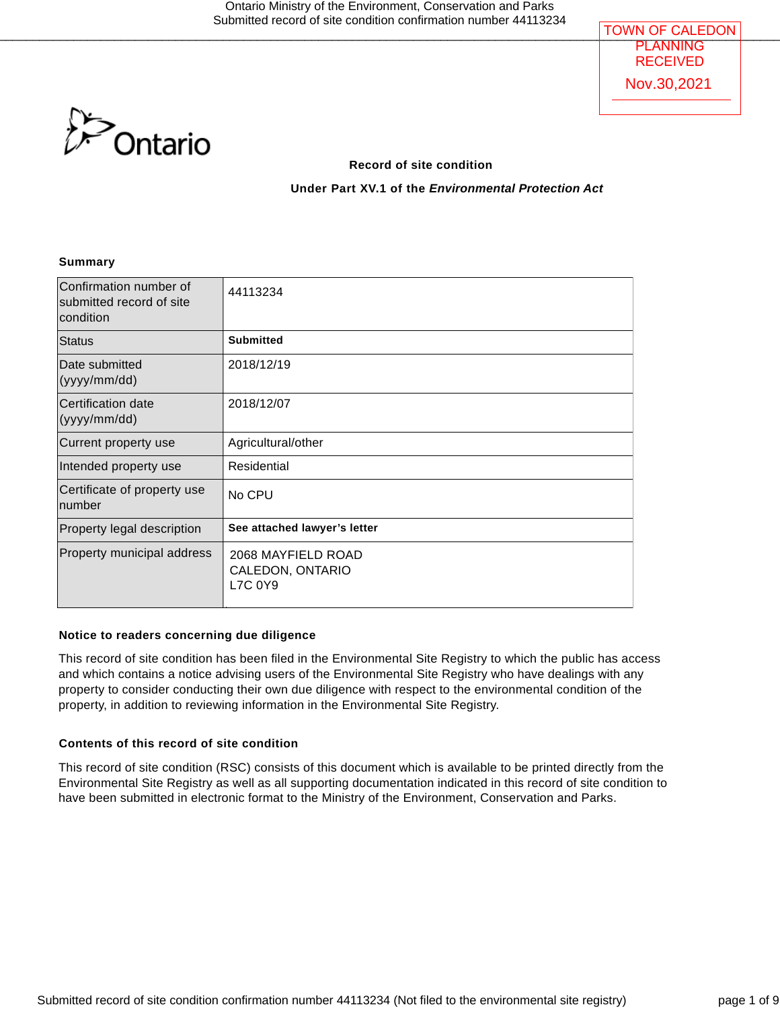

#### **Record of site condition**

**Under Part XV.1 of the** *Environmental Protection Act*

#### **Summary**

| Confirmation number of<br>submitted record of site<br>condition | 44113234                                          |
|-----------------------------------------------------------------|---------------------------------------------------|
| Status                                                          | <b>Submitted</b>                                  |
| Date submitted<br>(yyy/mm/dd)                                   | 2018/12/19                                        |
| Certification date<br>(yyy/mm/dd)                               | 2018/12/07                                        |
| Current property use                                            | Agricultural/other                                |
| Intended property use                                           | Residential                                       |
| Certificate of property use<br>number                           | No CPU                                            |
| Property legal description                                      | See attached lawyer's letter                      |
| Property municipal address                                      | 2068 MAYFIELD ROAD<br>CALEDON, ONTARIO<br>L7C 0Y9 |

#### **Notice to readers concerning due diligence**

This record of site condition has been filed in the Environmental Site Registry to which the public has access and which contains a notice advising users of the Environmental Site Registry who have dealings with any property to consider conducting their own due diligence with respect to the environmental condition of the property, in addition to reviewing information in the Environmental Site Registry.

#### **Contents of this record of site condition**

This record of site condition (RSC) consists of this document which is available to be printed directly from the Environmental Site Registry as well as all supporting documentation indicated in this record of site condition to have been submitted in electronic format to the Ministry of the Environment, Conservation and Parks.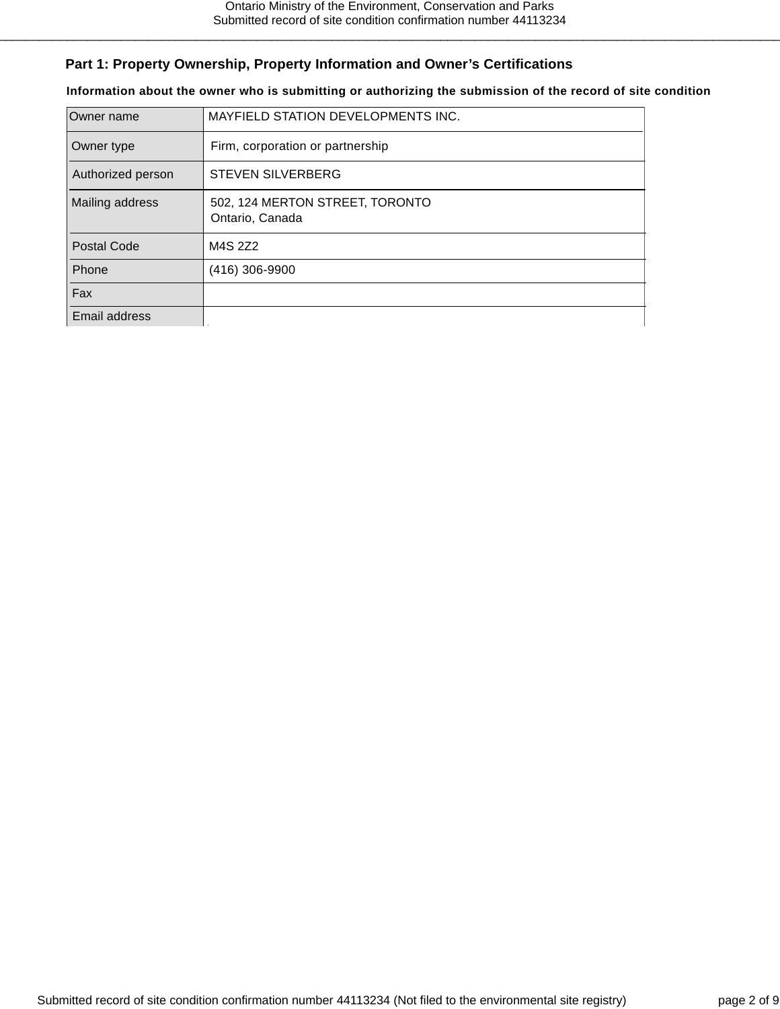# **Part 1: Property Ownership, Property Information and Owner's Certifications**

**Information about the owner who is submitting or authorizing the submission of the record of site condition**

| Owner name         | MAYFIELD STATION DEVELOPMENTS INC.                 |  |
|--------------------|----------------------------------------------------|--|
| Owner type         | Firm, corporation or partnership                   |  |
| Authorized person  | <b>STEVEN SILVERBERG</b>                           |  |
| Mailing address    | 502, 124 MERTON STREET, TORONTO<br>Ontario, Canada |  |
| <b>Postal Code</b> | M4S 2Z2                                            |  |
| Phone              | (416) 306-9900                                     |  |
| Fax                |                                                    |  |
| Email address      |                                                    |  |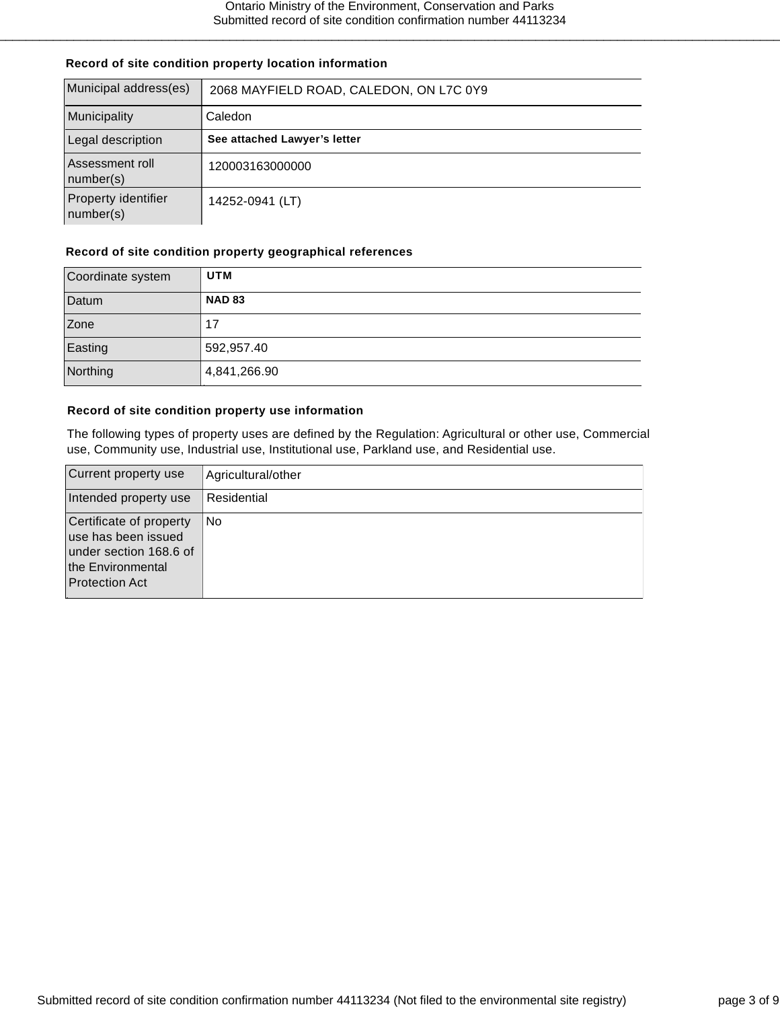#### **Record of site condition property location information**

| Municipal address(es)            | 2068 MAYFIELD ROAD, CALEDON, ON L7C 0Y9 |  |  |
|----------------------------------|-----------------------------------------|--|--|
| Municipality                     | Caledon                                 |  |  |
| Legal description                | See attached Lawyer's letter            |  |  |
| Assessment roll<br>number(s)     | 120003163000000                         |  |  |
| Property identifier<br>number(s) | 14252-0941 (LT)                         |  |  |

#### **Record of site condition property geographical references**

| Coordinate system | UTM           |
|-------------------|---------------|
| Datum             | <b>NAD 83</b> |
| Zone              | 17            |
| Easting           | 592,957.40    |
| Northing          | 4,841,266.90  |

#### **Record of site condition property use information**

The following types of property uses are defined by the Regulation: Agricultural or other use, Commercial use, Community use, Industrial use, Institutional use, Parkland use, and Residential use.

| Current property use                                                                                                   | Agricultural/other |
|------------------------------------------------------------------------------------------------------------------------|--------------------|
| Intended property use                                                                                                  | Residential        |
| Certificate of property<br>use has been issued<br>under section 168.6 of<br>the Environmental<br><b>Protection Act</b> | No                 |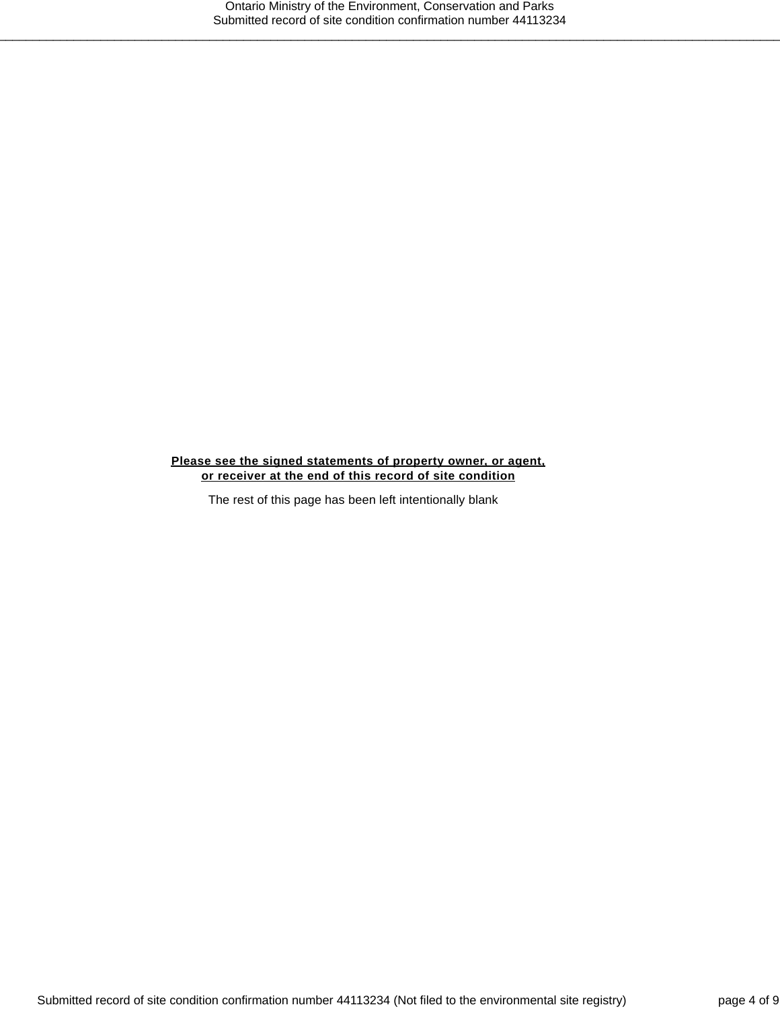#### **Please see the signed statements of property owner, or agent, or receiver at the end of this record of site condition**

The rest of this page has been left intentionally blank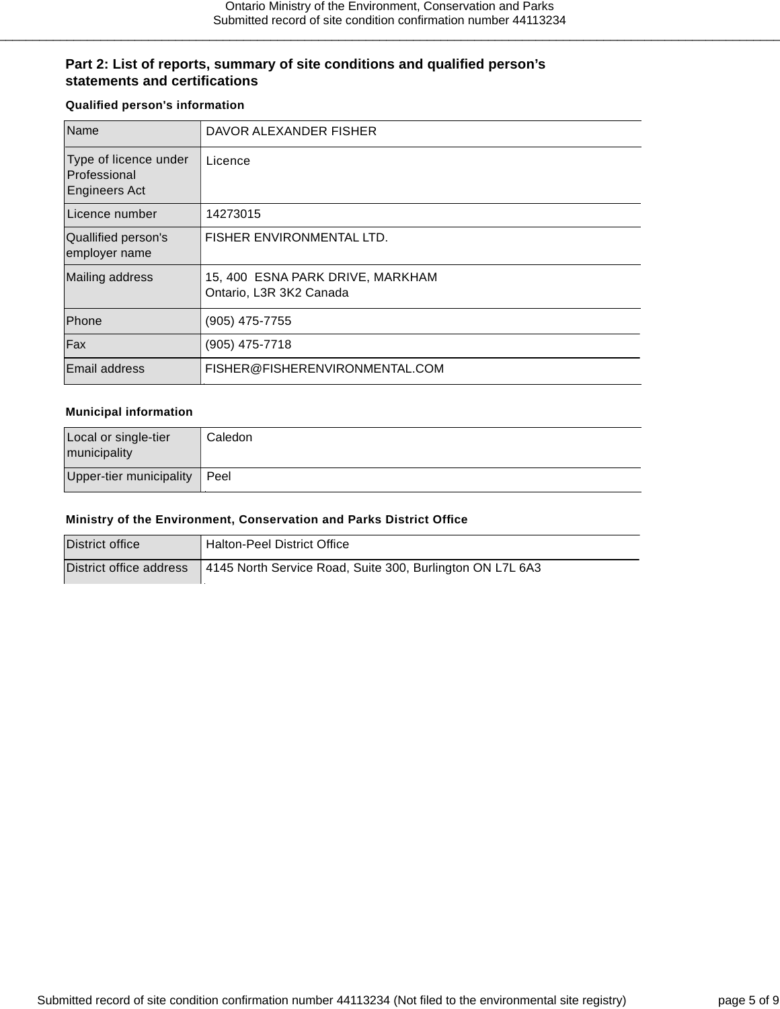## **Part 2: List of reports, summary of site conditions and qualified person's statements and certifications**

#### **Qualified person's information**

| Name                                                          | DAVOR ALEXANDER FISHER                                      |
|---------------------------------------------------------------|-------------------------------------------------------------|
| Type of licence under<br>Professional<br><b>Engineers Act</b> | Licence                                                     |
| Licence number                                                | 14273015                                                    |
| Quallified person's<br>employer name                          | FISHER ENVIRONMENTAL LTD.                                   |
| Mailing address                                               | 15, 400 ESNA PARK DRIVE, MARKHAM<br>Ontario, L3R 3K2 Canada |
| Phone                                                         | (905) 475-7755                                              |
| Fax                                                           | (905) 475-7718                                              |
| <b>Email address</b>                                          | FISHER@FISHERENVIRONMENTAL.COM                              |

#### **Municipal information**

| Local or single-tier<br>municipality | Caledon |
|--------------------------------------|---------|
| Upper-tier municipality              | I Peel  |

#### **Ministry of the Environment, Conservation and Parks District Office**

| District office | <sup>1</sup> Halton-Peel District Office                                            |
|-----------------|-------------------------------------------------------------------------------------|
|                 | District office address   4145 North Service Road, Suite 300, Burlington ON L7L 6A3 |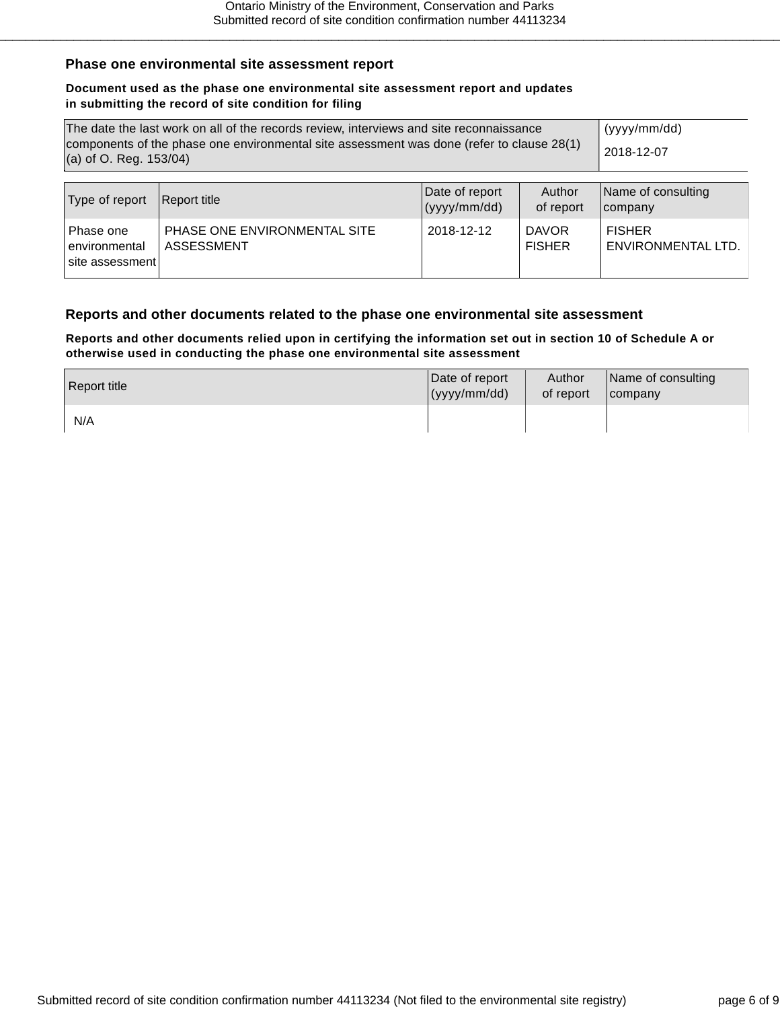### **Phase one environmental site assessment report**

#### **Document used as the phase one environmental site assessment report and updates in submitting the record of site condition for filing**

| The date the last work on all of the records review, interviews and site reconnaissance<br>components of the phase one environmental site assessment was done (refer to clause 28(1) |                                  |  |            | (yyyy/mm/dd) |
|--------------------------------------------------------------------------------------------------------------------------------------------------------------------------------------|----------------------------------|--|------------|--------------|
| $(a)$ of O. Reg. 153/04)                                                                                                                                                             |                                  |  | 2018-12-07 |              |
|                                                                                                                                                                                      |                                  |  |            |              |
|                                                                                                                                                                                      | the search of a special discover |  |            |              |

| Type of report                                | Report title                               | Date of report<br>(yyy/mm/dd) | Author<br>of report           | Name of consulting<br><b>Icompany</b> |
|-----------------------------------------------|--------------------------------------------|-------------------------------|-------------------------------|---------------------------------------|
| Phase one<br>environmental<br>site assessment | PHASE ONE ENVIRONMENTAL SITE<br>ASSESSMENT | 2018-12-12                    | <b>DAVOR</b><br><b>FISHER</b> | <b>FISHER</b><br>ENVIRONMENTAL LTD.   |

### **Reports and other documents related to the phase one environmental site assessment**

**Reports and other documents relied upon in certifying the information set out in section 10 of Schedule A or otherwise used in conducting the phase one environmental site assessment**

| Report title | Date of report | Author    | Name of consulting |
|--------------|----------------|-----------|--------------------|
|              | (yyy/mm/dd)    | of report | $I$ company        |
| N/A          |                |           |                    |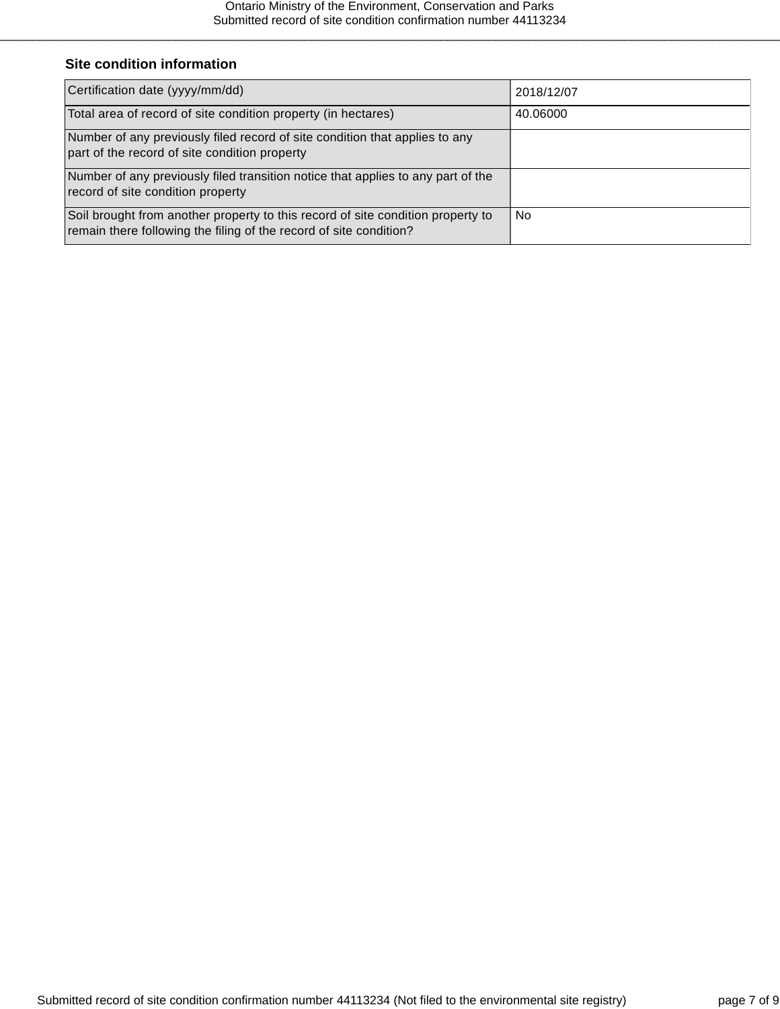# **Site condition information**

| Certification date (yyyy/mm/dd)                                                                                                                       | 2018/12/07 |
|-------------------------------------------------------------------------------------------------------------------------------------------------------|------------|
| Total area of record of site condition property (in hectares)                                                                                         | 40.06000   |
| Number of any previously filed record of site condition that applies to any<br>part of the record of site condition property                          |            |
| Number of any previously filed transition notice that applies to any part of the<br>record of site condition property                                 |            |
| Soil brought from another property to this record of site condition property to<br>remain there following the filing of the record of site condition? | No.        |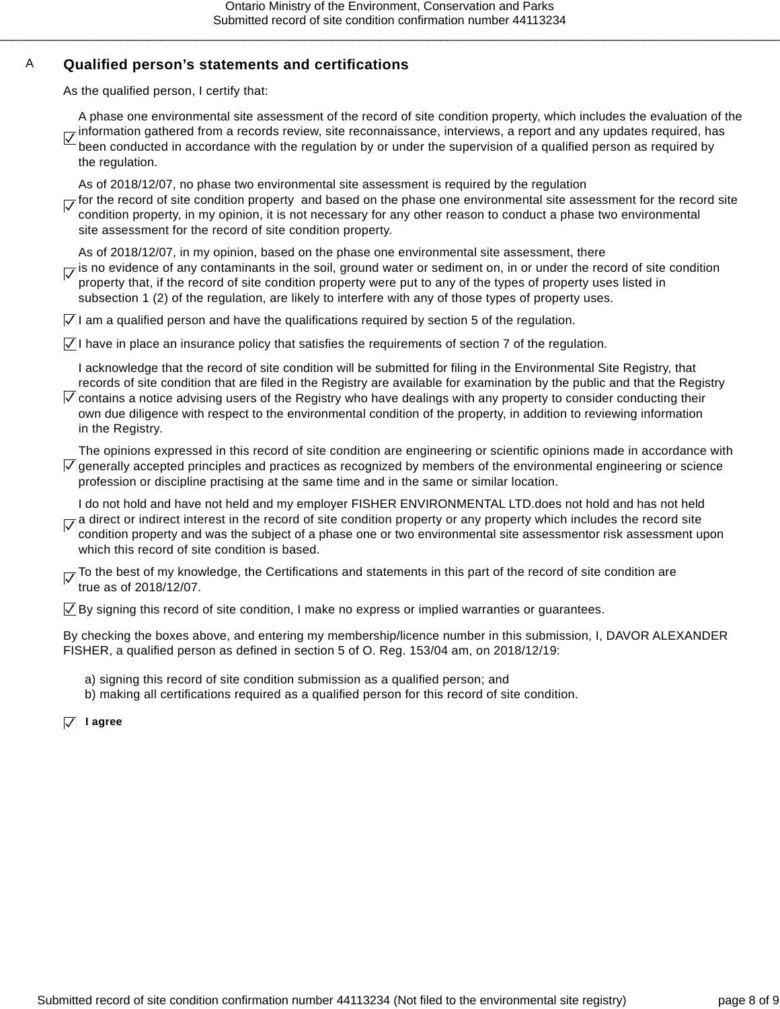# A **Qualified person's statements and certifications**

As the qualified person, I certify that:

A phase one environmental site assessment of the record of site condition property, which includes the evaluation of the information gathered from a records review, site reconnaissance, interviews, a report and any updates required, has  $\overline{\vee}$ been conducted in accordance with the regulation by or under the supervision of a qualified person as required by the regulation.

As of 2018/12/07, no phase two environmental site assessment is required by the regulation

for the record of site condition property and based on the phase one environmental site assessment for the record site condition property, in my opinion, it is not necessary for any other reason to conduct a phase two environmental site assessment for the record of site condition property.

As of 2018/12/07, in my opinion, based on the phase one environmental site assessment, there

 $\overline{V}$  is no evidence of any contaminants in the soil, ground water or sediment on, in or under the record of site condition property that, if the record of site condition property were put to any of the types of property uses listed in subsection 1 (2) of the regulation, are likely to interfere with any of those types of property uses.

 $\vert \angle \vert$  am a qualified person and have the qualifications required by section 5 of the regulation.

 $\vert \sqrt{\vert} \vert$  have in place an insurance policy that satisfies the requirements of section 7 of the regulation.

I acknowledge that the record of site condition will be submitted for filing in the Environmental Site Registry, that records of site condition that are filed in the Registry are available for examination by the public and that the Registry  $\sqrt{2}$  contains a notice advising users of the Registry who have dealings with any property to consider conducting their

own due diligence with respect to the environmental condition of the property, in addition to reviewing information in the Registry.

The opinions expressed in this record of site condition are engineering or scientific opinions made in accordance with  $\angle$  generally accepted principles and practices as recognized by members of the environmental engineering or science profession or discipline practising at the same time and in the same or similar location.

I do not hold and have not held and my employer FISHER ENVIRONMENTAL LTD.does not hold and has not held a direct or indirect interest in the record of site condition property or any property which includes the record site condition property and was the subject of a phase one or two environmental site assessmentor risk assessment upon which this record of site condition is based.

 $\nabla$  To the best of my knowledge, the Certifications and statements in this part of the record of site condition are true as of 2018/12/07.

 $\sqrt{ }$  By signing this record of site condition, I make no express or implied warranties or guarantees.

By checking the boxes above, and entering my membership/licence number in this submission, I, DAVOR ALEXANDER FISHER, a qualified person as defined in section 5 of O. Reg. 153/04 am, on 2018/12/19:

a) signing this record of site condition submission as a qualified person; and

b) making all certifications required as a qualified person for this record of site condition.

**I agree**